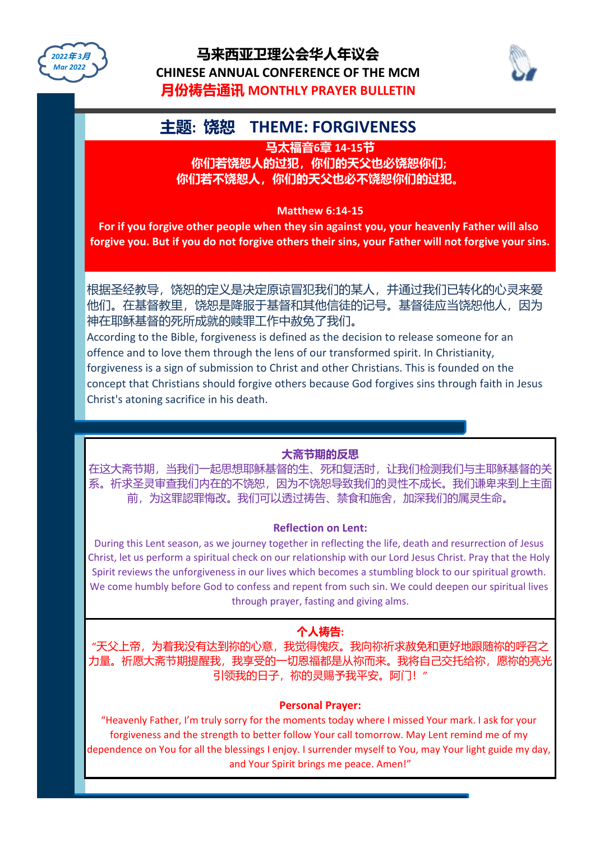



## **主题: 饶恕 THEME: FORGIVENESS**

**马太福音6章 14-15节**

**你们若饶恕人的过犯,你们的天父也必饶恕你们; 你们若不饶恕人,你们的天父也必不饶恕你们的过犯。**

#### **Matthew 6:14-15**

**For if you forgive other people when they sin against you, your heavenly Father will also forgive you. But if you do not forgive others their sins, your Father will not forgive your sins.**

根据圣经教导,饶恕的定义是决定原谅冒犯我们的某人,并通过我们已转化的心灵来爱 他们。在基督教里,饶恕是降服于基督和其他信徒的记号。基督徒应当饶恕他人,因为 神在耶稣基督的死所成就的赎罪工作中赦免了我们。

According to the Bible, forgiveness is defined as the decision to release someone for an offence and to love them through the lens of our transformed spirit. In Christianity, forgiveness is a sign of submission to Christ and other Christians. This is founded on the concept that Christians should forgive others because God forgives sins through faith in Jesus Christ's atoning sacrifice in his death.

#### **大斋节期的反思**

在这大斋节期,当我们一起思想耶稣基督的生、死和复活时,让我们检测我们与主耶稣基督的关 系。祈求圣灵审查我们内在的不饶恕,因为不饶恕导致我们的灵性不成长。我们谦卑来到上主面 前,为这罪認罪悔改。我们可以透过祷告、禁食和施舍,加深我们的属灵生命。

#### **Reflection on Lent:**

During this Lent season, as we journey together in reflecting the life, death and resurrection of Jesus Christ, let us perform a spiritual check on our relationship with our Lord Jesus Christ. Pray that the Holy Spirit reviews the unforgiveness in our lives which becomes a stumbling block to our spiritual growth. We come humbly before God to confess and repent from such sin. We could deepen our spiritual lives through prayer, fasting and giving alms.

### **个人祷告:**

"天父上帝,为着我没有达到祢的心意,我觉得愧疚。我向祢祈求赦免和更好地跟随祢的呼召之 力量。祈愿大斋节期提醒我,我享受的一切恩福都是从祢而来。我将自己交托给祢,愿祢的亮光 引领我的日子,祢的灵赐予我平安。阿门!"

#### **Personal Prayer:**

"Heavenly Father, I'm truly sorry for the moments today where I missed Your mark. I ask for your forgiveness and the strength to better follow Your call tomorrow. May Lent remind me of my dependence on You for all the blessings I enjoy. I surrender myself to You, may Your light guide my day, and Your Spirit brings me peace. Amen!"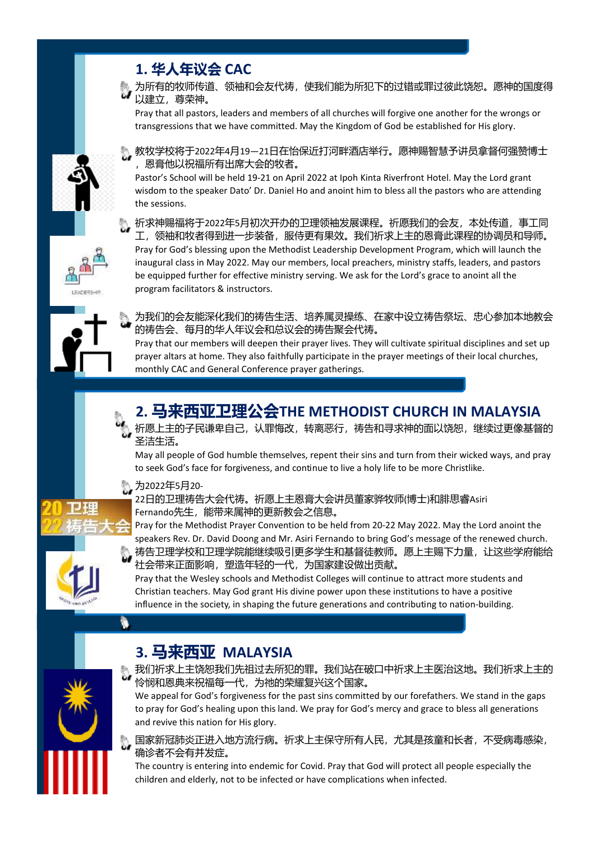





Pray that all pastors, leaders and members of all churches will forgive one another for the wrongs or transgressions that we have committed. May the Kingdom of God be established for His glory.

教牧学校将于2022年4月19—21日在怡保近打河畔酒店举行。愿神赐智慧予讲员拿督何强赞博士 ,恩膏他以祝福所有出席大会的牧者。

Pastor's School will be held 19-21 on April 2022 at Ipoh Kinta Riverfront Hotel. May the Lord grant wisdom to the speaker Dato' Dr. Daniel Ho and anoint him to bless all the pastors who are attending the sessions.

祈求神赐福将于2022年5月初次开办的卫理领袖发展课程。祈愿我们的会友,本处传道,事工同 工,领袖和牧者得到进一步装备,服侍更有果效。我们祈求上主的恩膏此课程的协调员和导师。 Pray for God's blessing upon the Methodist Leadership Development Program, which will launch the inaugural class in May 2022. May our members, local preachers, ministry staffs, leaders, and pastors be equipped further for effective ministry serving. We ask for the Lord's grace to anoint all the program facilitators & instructors.



为我们的会友能深化我们的祷告生活、培养属灵操练、在家中设立祷告祭坛、忠心参加本地教会 的祷告会、每月的华人年议会和总议会的祷告聚会代祷。

Pray that our members will deepen their prayer lives. They will cultivate spiritual disciplines and set up prayer altars at home. They also faithfully participate in the prayer meetings of their local churches, monthly CAC and General Conference prayer gatherings.

**2. 马来西亚卫理公会THE METHODIST CHURCH IN MALAYSIA**

祈愿上主的子民谦卑自己,认罪悔改,转离恶行,祷告和寻求神的面以饶恕,继续过更像基督的

May all people of God humble themselves, repent their sins and turn from their wicked ways, and pray



### to seek God's face for forgiveness, and continue to live a holy life to be more Christlike.

圣洁生活。



#### 为2022年5月20- 22日的卫理祷告大会代祷。祈愿上主恩膏大会讲员董家骅牧师(博士)和腓思睿Asiri Fernando先生,能带来属神的更新教会之信息。

Pray for the Methodist Prayer Convention to be held from 20-22 May 2022. May the Lord anoint the speakers Rev. Dr. David Doong and Mr. Asiri Fernando to bring God's message of the renewed church. 祷告卫理学校和卫理学院能继续吸引更多学生和基督徒教师。愿上主赐下力量,让这些学府能给 社会带来正面影响,塑造年轻的一代,为国家建设做出贡献。

Pray that the Wesley schools and Methodist Colleges will continue to attract more students and Christian teachers. May God grant His divine power upon these institutions to have a positive influence in the society, in shaping the future generations and contributing to nation-building.



# **3. 马来西亚 MALAYSIA**

我们祈求上主饶恕我们先祖过去所犯的罪。我们站在破口中祈求上主医治这地。我们祈求上主的 怜悯和恩典来祝福每一代,为祂的荣耀复兴这个国家。

We appeal for God's forgiveness for the past sins committed by our forefathers. We stand in the gaps to pray for God's healing upon this land. We pray for God's mercy and grace to bless all generations and revive this nation for His glory.

国家新冠肺炎正进入地方流行病。祈求上主保守所有人民,尤其是孩童和长者,不受病毒感染, 确诊者不会有并发症。

The country is entering into endemic for Covid. Pray that God will protect all people especially the children and elderly, not to be infected or have complications when infected.